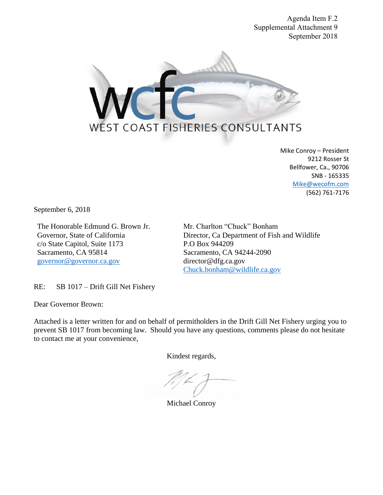Agenda Item F.2 Supplemental Attachment 9 September 2018



Mike Conroy – President 9212 Rosser St Bellfower, Ca., 90706 SNB - 165335 [Mike@wecofm.com](mailto:Mike@wecofm.com) (562) 761-7176

September 6, 2018

The Honorable Edmund G. Brown Jr. Mr. Charlton "Chuck" Bonham c/o State Capitol, Suite 1173 P.O Box 944209 Sacramento, CA 95814 Sacramento, CA 94244-2090 [governor@governor.ca.gov](mailto:governor@governor.ca.gov) director@dfg.ca.gov

Governor, State of California Director, Ca Department of Fish and Wildlife [Chuck.bonham@wildlife.ca.gov](mailto:Chuck.bonham@wildlife.ca.gov)

RE: SB 1017 – Drift Gill Net Fishery

Dear Governor Brown:

Attached is a letter written for and on behalf of permitholders in the Drift Gill Net Fishery urging you to prevent SB 1017 from becoming law. Should you have any questions, comments please do not hesitate to contact me at your convenience,

Kindest regards,

Michael Conroy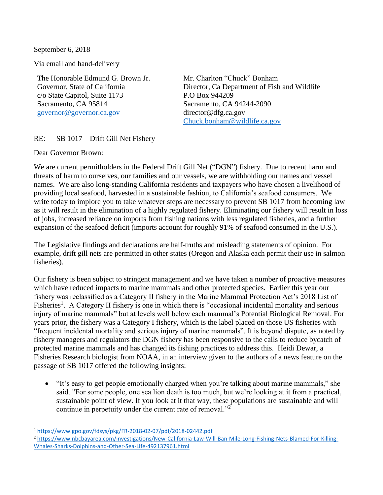September 6, 2018

Via email and hand-delivery

The Honorable Edmund G. Brown Jr. Mr. Charlton "Chuck" Bonham c/o State Capitol, Suite 1173 P.O Box 944209 Sacramento, CA 95814 Sacramento, CA 94244-2090 [governor@governor.ca.gov](mailto:governor@governor.ca.gov) director@dfg.ca.gov

Governor, State of California Director, Ca Department of Fish and Wildlife [Chuck.bonham@wildlife.ca.gov](mailto:Chuck.bonham@wildlife.ca.gov)

## RE: SB 1017 – Drift Gill Net Fishery

Dear Governor Brown:

We are current permitholders in the Federal Drift Gill Net ("DGN") fishery. Due to recent harm and threats of harm to ourselves, our families and our vessels, we are withholding our names and vessel names. We are also long-standing California residents and taxpayers who have chosen a livelihood of providing local seafood, harvested in a sustainable fashion, to California's seafood consumers. We write today to implore you to take whatever steps are necessary to prevent SB 1017 from becoming law as it will result in the elimination of a highly regulated fishery. Eliminating our fishery will result in loss of jobs, increased reliance on imports from fishing nations with less regulated fisheries, and a further expansion of the seafood deficit (imports account for roughly 91% of seafood consumed in the U.S.).

The Legislative findings and declarations are half-truths and misleading statements of opinion. For example, drift gill nets are permitted in other states (Oregon and Alaska each permit their use in salmon fisheries).

Our fishery is been subject to stringent management and we have taken a number of proactive measures which have reduced impacts to marine mammals and other protected species. Earlier this year our fishery was reclassified as a Category II fishery in the Marine Mammal Protection Act's 2018 List of Fisheries<sup>1</sup>. A Category II fishery is one in which there is "occasional incidental mortality and serious injury of marine mammals" but at levels well below each mammal's Potential Biological Removal. For years prior, the fishery was a Category I fishery, which is the label placed on those US fisheries with "frequent incidental mortality and serious injury of marine mammals". It is beyond dispute, as noted by fishery managers and regulators the DGN fishery has been responsive to the calls to reduce bycatch of protected marine mammals and has changed its fishing practices to address this. Heidi Dewar, a Fisheries Research biologist from NOAA, in an interview given to the authors of a news feature on the passage of SB 1017 offered the following insights:

• "It's easy to get people emotionally charged when you're talking about marine mammals," she said. "For some people, one sea lion death is too much, but we're looking at it from a practical, sustainable point of view. If you look at it that way, these populations are sustainable and will continue in perpetuity under the current rate of removal."<sup>2</sup>

 $\overline{a}$ <sup>1</sup> <https://www.gpo.gov/fdsys/pkg/FR-2018-02-07/pdf/2018-02442.pdf>

<sup>2</sup> [https://www.nbcbayarea.com/investigations/New-California-Law-Will-Ban-Mile-Long-Fishing-Nets-Blamed-For-Killing-](https://www.nbcbayarea.com/investigations/New-California-Law-Will-Ban-Mile-Long-Fishing-Nets-Blamed-For-Killing-Whales-Sharks-Dolphins-and-Other-Sea-Life-492137961.html)[Whales-Sharks-Dolphins-and-Other-Sea-Life-492137961.html](https://www.nbcbayarea.com/investigations/New-California-Law-Will-Ban-Mile-Long-Fishing-Nets-Blamed-For-Killing-Whales-Sharks-Dolphins-and-Other-Sea-Life-492137961.html)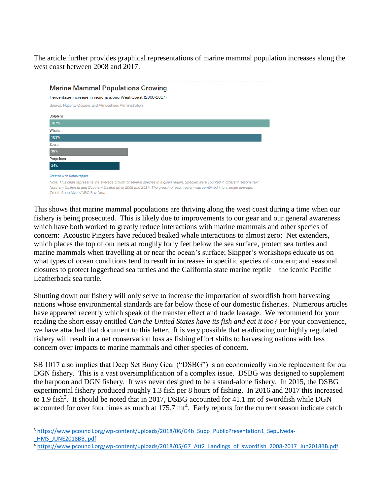The article further provides graphical representations of marine mammal population increases along the west coast between 2008 and 2017.

| <b>Marine Mammal Populations Growing</b>                                                                                                                                                                                                                                                               |  |
|--------------------------------------------------------------------------------------------------------------------------------------------------------------------------------------------------------------------------------------------------------------------------------------------------------|--|
| Percentage increase in regions along West Coast (2008-2017)                                                                                                                                                                                                                                            |  |
| Source: National Oceanic and Atmospheric Administration                                                                                                                                                                                                                                                |  |
| Dolphins                                                                                                                                                                                                                                                                                               |  |
| 107%                                                                                                                                                                                                                                                                                                   |  |
| Whales                                                                                                                                                                                                                                                                                                 |  |
| 103%                                                                                                                                                                                                                                                                                                   |  |
| Seals                                                                                                                                                                                                                                                                                                  |  |
| 38%                                                                                                                                                                                                                                                                                                    |  |
| Porpoises                                                                                                                                                                                                                                                                                              |  |
| 34%                                                                                                                                                                                                                                                                                                    |  |
| <b>Created with Datawrapper</b>                                                                                                                                                                                                                                                                        |  |
| Note: This chart represents the average growth of several species in a given region. Species were counted in different regions (ex:<br>Northern California and Southern California) in 2008 and 2017. The growth of each region was combined into a single average.<br>Credit: Sean Myers/NBC Bay Area |  |

This shows that marine mammal populations are thriving along the west coast during a time when our fishery is being prosecuted. This is likely due to improvements to our gear and our general awareness which have both worked to greatly reduce interactions with marine mammals and other species of concern: Acoustic Pingers have reduced beaked whale interactions to almost zero; Net extenders, which places the top of our nets at roughly forty feet below the sea surface, protect sea turtles and marine mammals when travelling at or near the ocean's surface; Skipper's workshops educate us on what types of ocean conditions tend to result in increases in specific species of concern; and seasonal closures to protect loggerhead sea turtles and the California state marine reptile – the iconic Pacific Leatherback sea turtle.

Shutting down our fishery will only serve to increase the importation of swordfish from harvesting nations whose environmental standards are far below those of our domestic fisheries. Numerous articles have appeared recently which speak of the transfer effect and trade leakage. We recommend for your reading the short essay entitled *Can the United States have its fish and eat it too?* For your convenience, we have attached that document to this letter. It is very possible that eradicating our highly regulated fishery will result in a net conservation loss as fishing effort shifts to harvesting nations with less concern over impacts to marine mammals and other species of concern.

SB 1017 also implies that Deep Set Buoy Gear ("DSBG") is an economically viable replacement for our DGN fishery. This is a vast oversimplification of a complex issue. DSBG was designed to supplement the harpoon and DGN fishery. It was never designed to be a stand-alone fishery. In 2015, the DSBG experimental fishery produced roughly 1.3 fish per 8 hours of fishing. In 2016 and 2017 this increased to 1.9 fish<sup>3</sup>. It should be noted that in 2017, DSBG accounted for 41.1 mt of swordfish while DGN accounted for over four times as much at  $175.7 \text{ mt}^4$ . Early reports for the current season indicate catch

 $\overline{a}$ 

<sup>&</sup>lt;sup>3</sup> [https://www.pcouncil.org/wp-content/uploads/2018/06/G4b\\_Supp\\_PublicPresentation1\\_Sepulveda-](https://www.pcouncil.org/wp-content/uploads/2018/06/G4b_Supp_PublicPresentation1_Sepulveda-_HMS_JUNE2018BB..pdf) [\\_HMS\\_JUNE2018BB..pdf](https://www.pcouncil.org/wp-content/uploads/2018/06/G4b_Supp_PublicPresentation1_Sepulveda-_HMS_JUNE2018BB..pdf)

<sup>4</sup> [https://www.pcouncil.org/wp-content/uploads/2018/05/G7\\_Att2\\_Landings\\_of\\_swordfish\\_2008-2017\\_Jun2018BB.pdf](https://www.pcouncil.org/wp-content/uploads/2018/05/G7_Att2_Landings_of_swordfish_2008-2017_Jun2018BB.pdf)